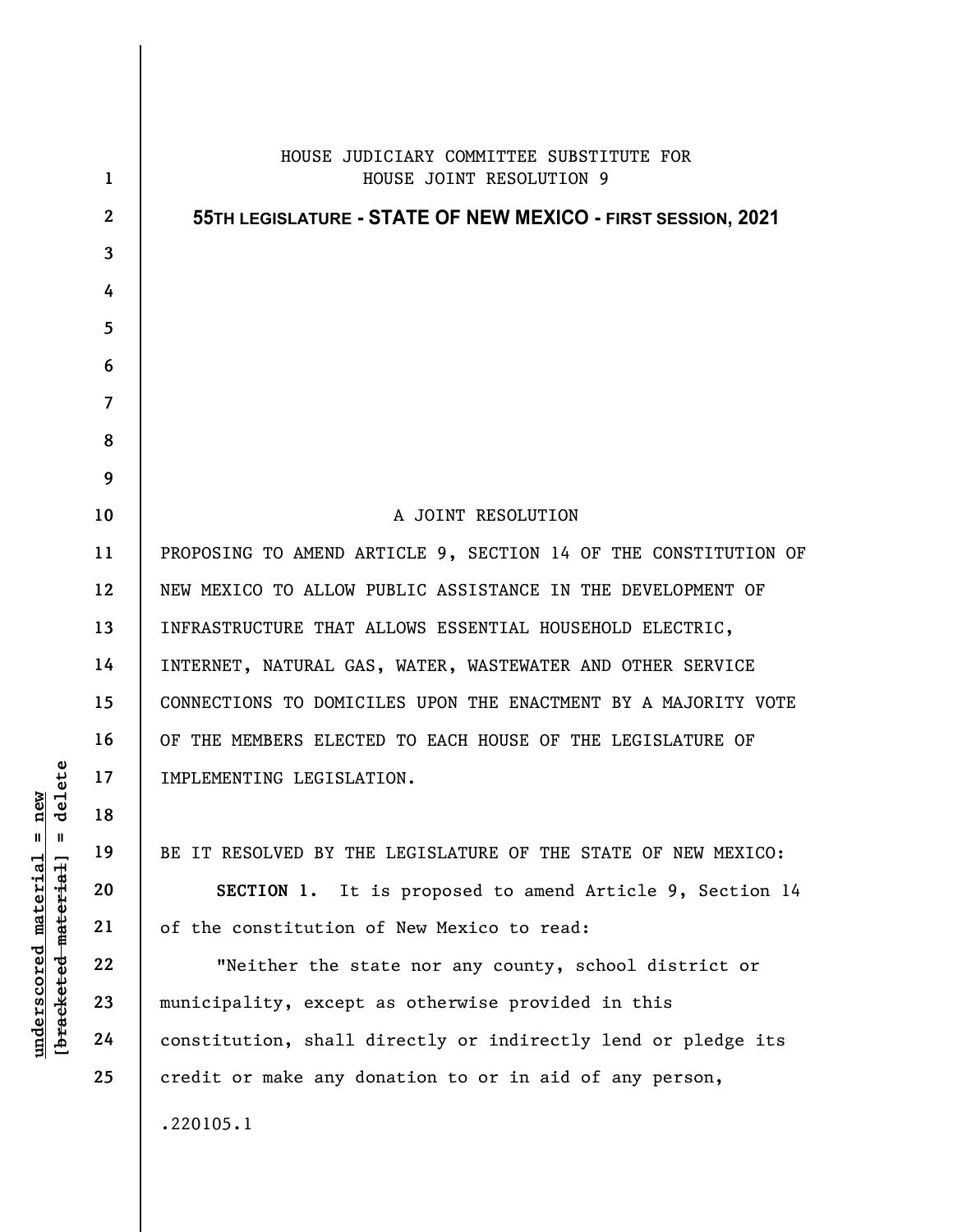|                                                                                                                  | $\mathbf{1}$    | HOUSE JUDICIARY COMMITTEE SUBSTITUTE FOR<br>HOUSE JOINT RESOLUTION 9 |
|------------------------------------------------------------------------------------------------------------------|-----------------|----------------------------------------------------------------------|
| ete<br>new<br>de <sub>1</sub><br>$\mathsf{I}$<br>$\mathbf{II}$<br>$underscored$ material<br>[bracketed-material] |                 |                                                                      |
|                                                                                                                  | $\mathbf{2}$    | 55TH LEGISLATURE - STATE OF NEW MEXICO - FIRST SESSION, 2021         |
|                                                                                                                  | $\overline{3}$  |                                                                      |
|                                                                                                                  | 4               |                                                                      |
|                                                                                                                  | $5\phantom{.0}$ |                                                                      |
|                                                                                                                  | 6               |                                                                      |
|                                                                                                                  | $\overline{7}$  |                                                                      |
|                                                                                                                  | 8               |                                                                      |
|                                                                                                                  | 9               |                                                                      |
|                                                                                                                  | 10              | A JOINT RESOLUTION                                                   |
|                                                                                                                  | 11              | PROPOSING TO AMEND ARTICLE 9, SECTION 14 OF THE CONSTITUTION OF      |
|                                                                                                                  | 12              | NEW MEXICO TO ALLOW PUBLIC ASSISTANCE IN THE DEVELOPMENT OF          |
|                                                                                                                  | 13              | INFRASTRUCTURE THAT ALLOWS ESSENTIAL HOUSEHOLD ELECTRIC,             |
|                                                                                                                  | 14              | INTERNET, NATURAL GAS, WATER, WASTEWATER AND OTHER SERVICE           |
|                                                                                                                  | 15              | CONNECTIONS TO DOMICILES UPON THE ENACTMENT BY A MAJORITY VOTE       |
|                                                                                                                  | 16              | OF THE MEMBERS ELECTED TO EACH HOUSE OF THE LEGISLATURE OF           |
|                                                                                                                  | 17              | IMPLEMENTING LEGISLATION.                                            |
|                                                                                                                  | 18              |                                                                      |
|                                                                                                                  | 19              | BE IT RESOLVED BY THE LEGISLATURE OF THE STATE OF NEW MEXICO:        |
|                                                                                                                  | 20              | SECTION 1. It is proposed to amend Article 9, Section 14             |
|                                                                                                                  | 21              | of the constitution of New Mexico to read:                           |
|                                                                                                                  | 22              | "Neither the state nor any county, school district or                |
|                                                                                                                  | 23              | municipality, except as otherwise provided in this                   |
|                                                                                                                  | 24              | constitution, shall directly or indirectly lend or pledge its        |
|                                                                                                                  | 25              | credit or make any donation to or in aid of any person,              |
|                                                                                                                  |                 | .220105.1                                                            |
|                                                                                                                  |                 |                                                                      |
|                                                                                                                  |                 |                                                                      |
|                                                                                                                  |                 |                                                                      |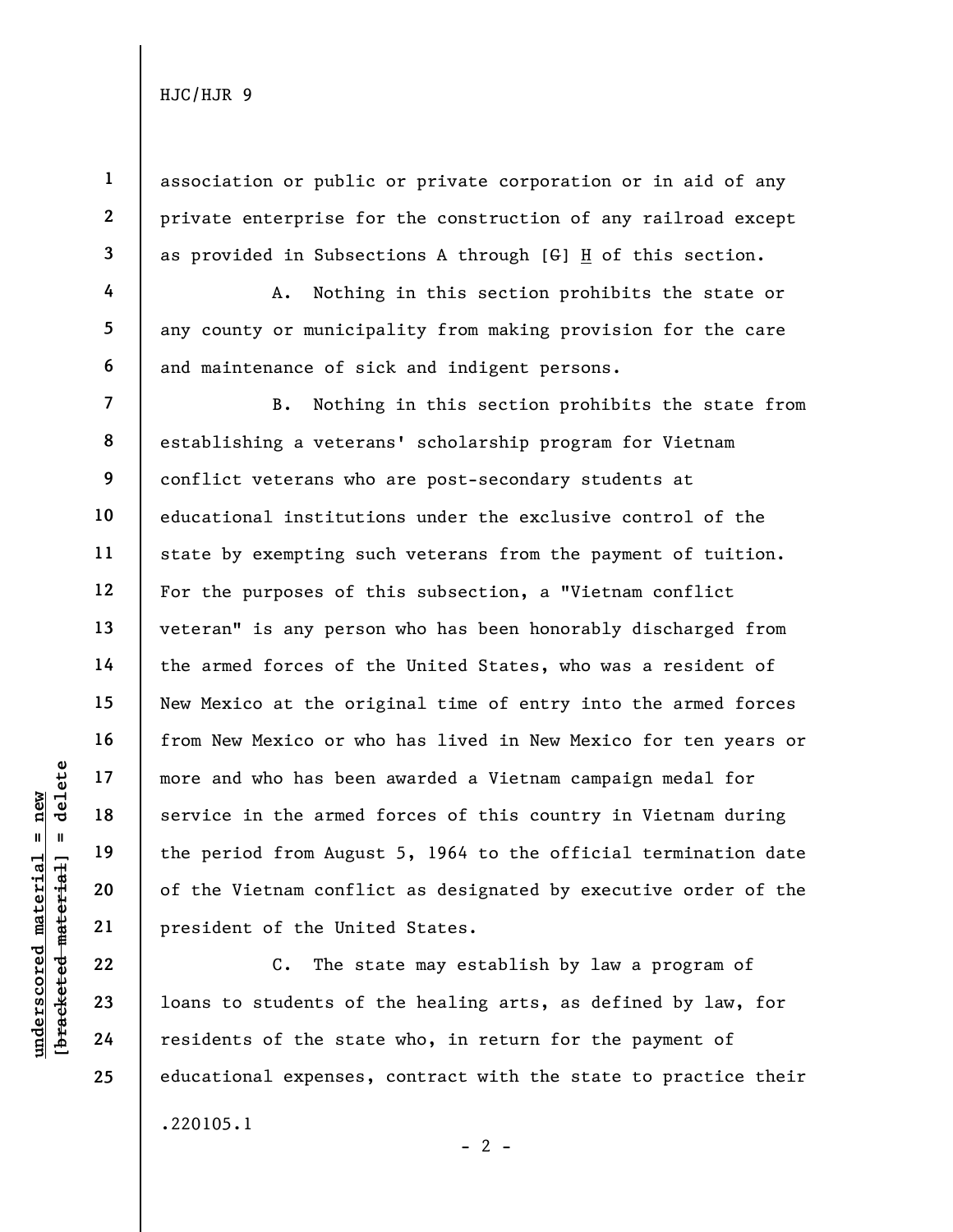1

2

3

4

5

6

7

8

9

10

11

12

13

14

15

16

17

18

19

20

21

association or public or private corporation or in aid of any private enterprise for the construction of any railroad except as provided in Subsections A through  $[G]$  H of this section.

A. Nothing in this section prohibits the state or any county or municipality from making provision for the care and maintenance of sick and indigent persons.

understand more and who has been<br>
service in the armed<br>
service in the armed<br>
the period from Augus<br>
of the Vietnam confli<br>
president of the Unit<br>
22<br>
23<br>
10ans to students of<br>
24<br>
Presidents of the stat<br>
24<br>
23<br>
24<br>
24 B. Nothing in this section prohibits the state from establishing a veterans' scholarship program for Vietnam conflict veterans who are post-secondary students at educational institutions under the exclusive control of the state by exempting such veterans from the payment of tuition. For the purposes of this subsection, a "Vietnam conflict veteran" is any person who has been honorably discharged from the armed forces of the United States, who was a resident of New Mexico at the original time of entry into the armed forces from New Mexico or who has lived in New Mexico for ten years or more and who has been awarded a Vietnam campaign medal for service in the armed forces of this country in Vietnam during the period from August 5, 1964 to the official termination date of the Vietnam conflict as designated by executive order of the president of the United States.

C. The state may establish by law a program of loans to students of the healing arts, as defined by law, for residents of the state who, in return for the payment of educational expenses, contract with the state to practice their .220105.1  $- 2 -$ 

22 23 24

25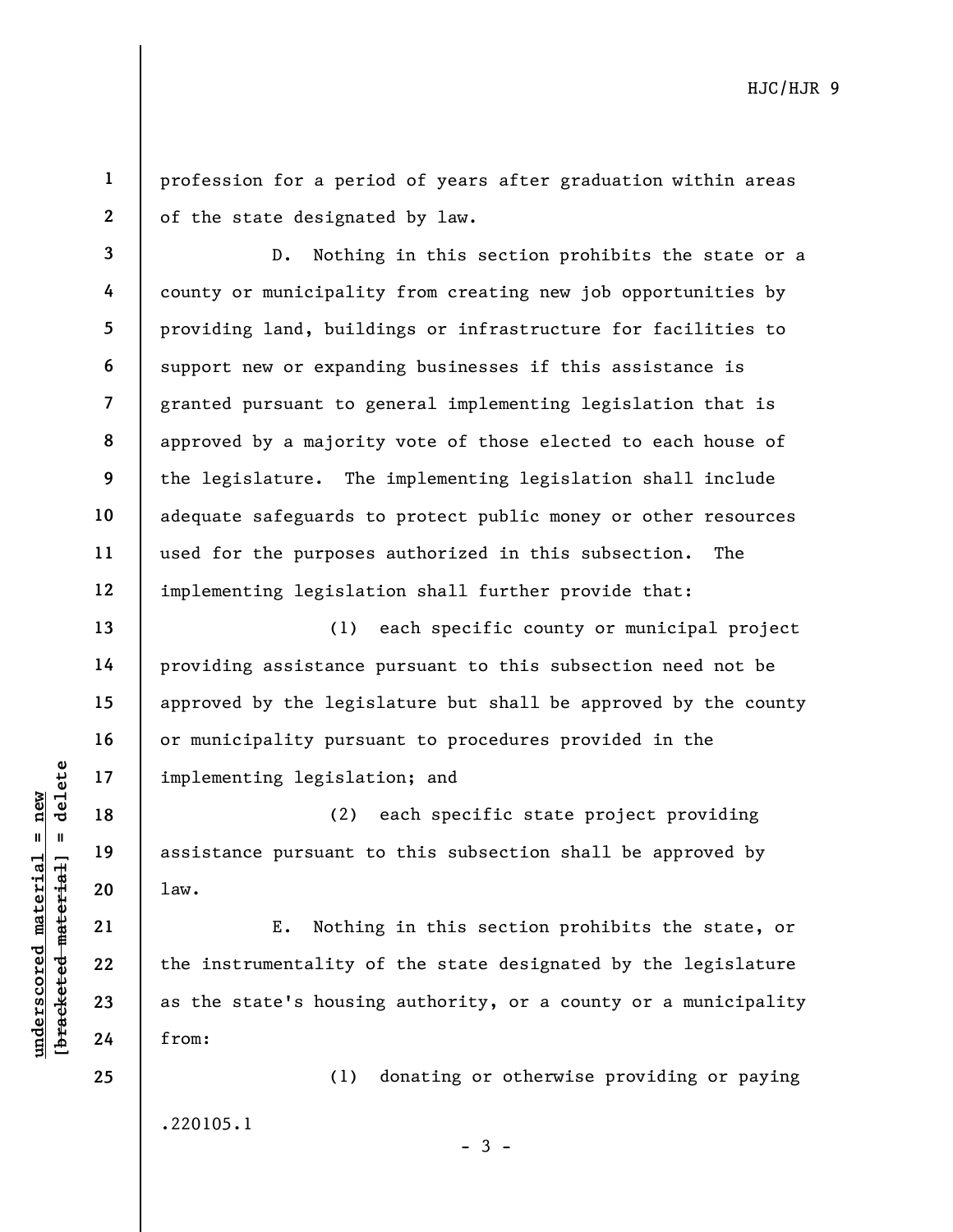2 profession for a period of years after graduation within areas of the state designated by law.

3 4 5 6 7 8 9 10 11 12 D. Nothing in this section prohibits the state or a county or municipality from creating new job opportunities by providing land, buildings or infrastructure for facilities to support new or expanding businesses if this assistance is granted pursuant to general implementing legislation that is approved by a majority vote of those elected to each house of the legislature. The implementing legislation shall include adequate safeguards to protect public money or other resources used for the purposes authorized in this subsection. The implementing legislation shall further provide that:

(1) each specific county or municipal project providing assistance pursuant to this subsection need not be approved by the legislature but shall be approved by the county or municipality pursuant to procedures provided in the implementing legislation; and

(2) each specific state project providing assistance pursuant to this subsection shall be approved by law.

underscored material implementing legislat<br>  $\begin{array}{ccc}\n\text{a} & \text{b} & \text{c} \\
\text{c} & \text{d} & \text{d} & \text{d} \\
\text{d} & \text{e} & \text{f} & \text{f} \\
\text{d} & \text{f} & \text{f} & \text{f} \\
\text{e} & \text{f} & \text{f} & \text{f} \\
\text{f} & \text{f} & \text{f} & \text{f} \\
\text{f} & \text{f} & \text{f} & \text{f} \\
\text{f} & \$ E. Nothing in this section prohibits the state, or the instrumentality of the state designated by the legislature as the state's housing authority, or a county or a municipality from:

> (1) donating or otherwise providing or paying .220105.1

> > $-3 -$

24 25

13

14

15

16

17

18

19

20

21

22

23

1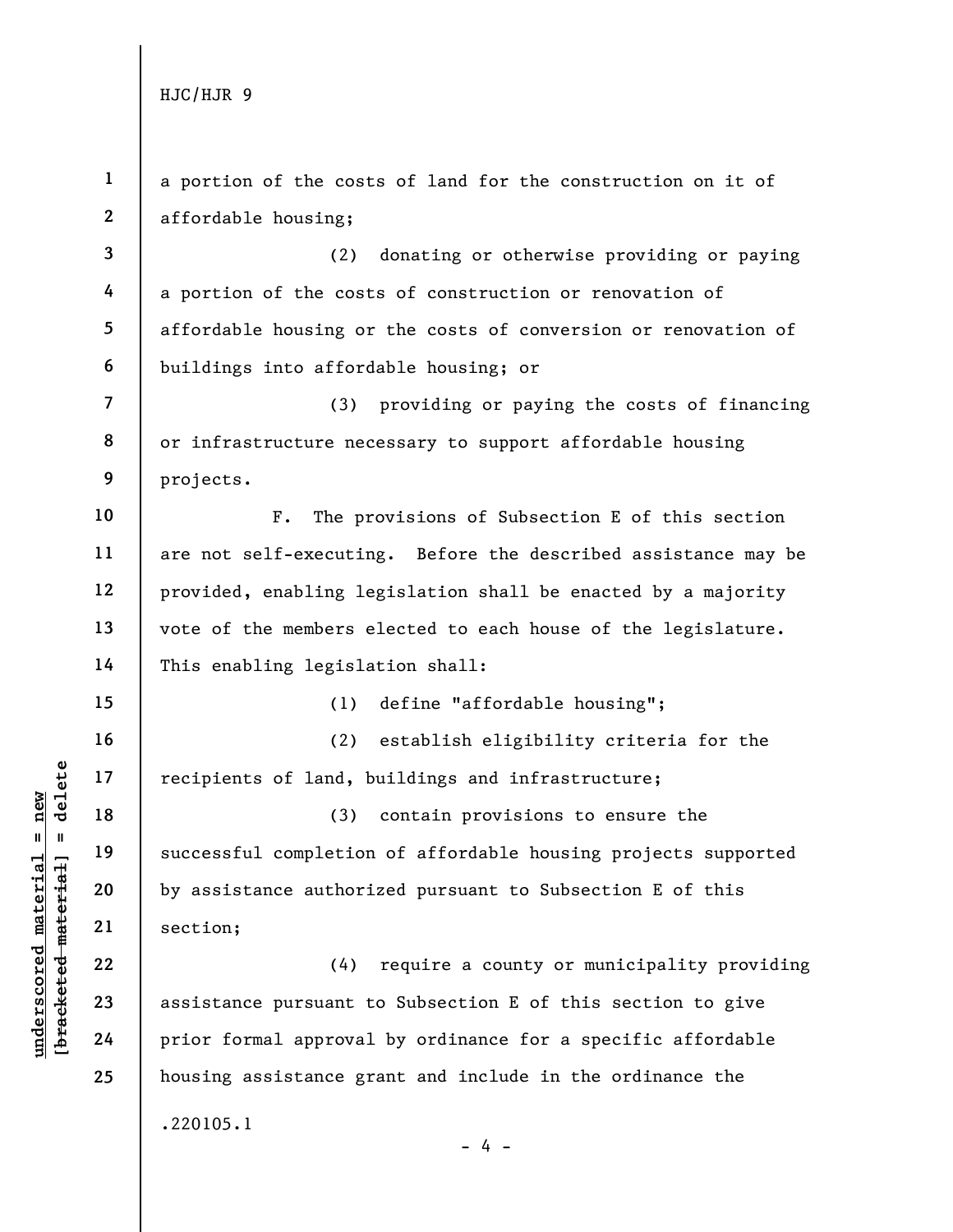underscore material material successful completion<br>
and 19<br>
underscore material successful completion<br>
by assistance authori<br>
21<br>
underscore material<br>
24<br>
prior formal approval 1 2 3 4 5 6 7 8 9 10 11 12 13 14 15 16 17 18 19 20 21 22 23 24 25 a portion of the costs of land for the construction on it of affordable housing; (2) donating or otherwise providing or paying a portion of the costs of construction or renovation of affordable housing or the costs of conversion or renovation of buildings into affordable housing; or (3) providing or paying the costs of financing or infrastructure necessary to support affordable housing projects. F. The provisions of Subsection E of this section are not self-executing. Before the described assistance may be provided, enabling legislation shall be enacted by a majority vote of the members elected to each house of the legislature. This enabling legislation shall: (1) define "affordable housing"; (2) establish eligibility criteria for the recipients of land, buildings and infrastructure; (3) contain provisions to ensure the successful completion of affordable housing projects supported by assistance authorized pursuant to Subsection E of this section; (4) require a county or municipality providing assistance pursuant to Subsection E of this section to give prior formal approval by ordinance for a specific affordable housing assistance grant and include in the ordinance the .220105.1

- 4 -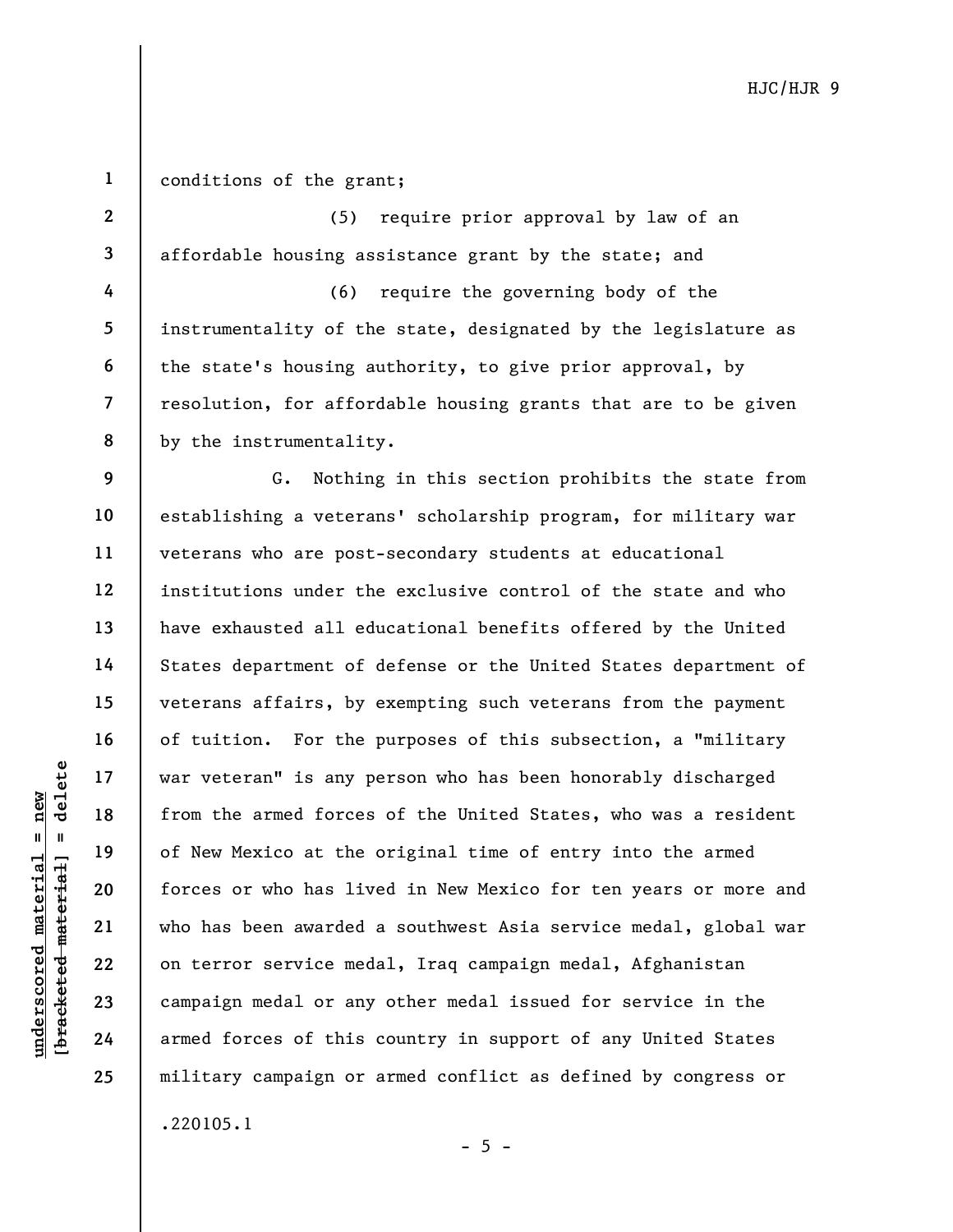## 1 conditions of the grant;

2 3 4 5 6 7 8 (5) require prior approval by law of an affordable housing assistance grant by the state; and (6) require the governing body of the instrumentality of the state, designated by the legislature as the state's housing authority, to give prior approval, by resolution, for affordable housing grants that are to be given by the instrumentality.

UNE INCREASED 17<br>
UNE INCREASED 18<br>
INCREASED 19<br>
UNE INCREASED 19<br>
UNE INCREASED 19<br>
UNE INCREASED 19<br>
UNE INCREASED 19<br>
UNE INCREASED 19<br>
UNE INCREASED 19<br>
UNE INCREASED 19<br>
UNE INCREASED 19<br>
UNE INCREASED 19<br>
UNE INCREA 9 10 11 12 13 14 15 16 17 18 19 20 21 22 23 24 25 G. Nothing in this section prohibits the state from establishing a veterans' scholarship program, for military war veterans who are post-secondary students at educational institutions under the exclusive control of the state and who have exhausted all educational benefits offered by the United States department of defense or the United States department of veterans affairs, by exempting such veterans from the payment of tuition. For the purposes of this subsection, a "military war veteran" is any person who has been honorably discharged from the armed forces of the United States, who was a resident of New Mexico at the original time of entry into the armed forces or who has lived in New Mexico for ten years or more and who has been awarded a southwest Asia service medal, global war on terror service medal, Iraq campaign medal, Afghanistan campaign medal or any other medal issued for service in the armed forces of this country in support of any United States military campaign or armed conflict as defined by congress or .220105.1

 $- 5 -$